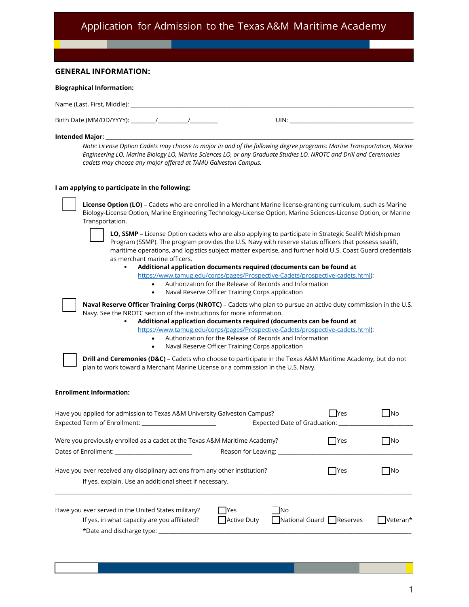# Application for Admission to the Texas A&M Maritime Academy

|                                | <b>GENERAL INFORMATION:</b>                                                                                                                                                                                                                                                                                                                                                                                                                                                                                                                                                                                                                                                                                                                |                                                                                                      |                                                                                                                                                                                                                                                                                                                                                                                                                                                                                                                                                                                                                                                                                                                                                                          |            |                   |
|--------------------------------|--------------------------------------------------------------------------------------------------------------------------------------------------------------------------------------------------------------------------------------------------------------------------------------------------------------------------------------------------------------------------------------------------------------------------------------------------------------------------------------------------------------------------------------------------------------------------------------------------------------------------------------------------------------------------------------------------------------------------------------------|------------------------------------------------------------------------------------------------------|--------------------------------------------------------------------------------------------------------------------------------------------------------------------------------------------------------------------------------------------------------------------------------------------------------------------------------------------------------------------------------------------------------------------------------------------------------------------------------------------------------------------------------------------------------------------------------------------------------------------------------------------------------------------------------------------------------------------------------------------------------------------------|------------|-------------------|
|                                | <b>Biographical Information:</b>                                                                                                                                                                                                                                                                                                                                                                                                                                                                                                                                                                                                                                                                                                           |                                                                                                      |                                                                                                                                                                                                                                                                                                                                                                                                                                                                                                                                                                                                                                                                                                                                                                          |            |                   |
|                                |                                                                                                                                                                                                                                                                                                                                                                                                                                                                                                                                                                                                                                                                                                                                            |                                                                                                      |                                                                                                                                                                                                                                                                                                                                                                                                                                                                                                                                                                                                                                                                                                                                                                          |            |                   |
|                                |                                                                                                                                                                                                                                                                                                                                                                                                                                                                                                                                                                                                                                                                                                                                            |                                                                                                      | UIN: <b>William Street (1998)</b>                                                                                                                                                                                                                                                                                                                                                                                                                                                                                                                                                                                                                                                                                                                                        |            |                   |
|                                | Note: License Option Cadets may choose to major in and of the following degree programs: Marine Transportation, Marine<br>Engineering LO, Marine Biology LO, Marine Sciences LO, or any Graduate Studies LO. NROTC and Drill and Ceremonies<br>cadets may choose any major offered at TAMU Galveston Campus.                                                                                                                                                                                                                                                                                                                                                                                                                               |                                                                                                      |                                                                                                                                                                                                                                                                                                                                                                                                                                                                                                                                                                                                                                                                                                                                                                          |            |                   |
|                                | I am applying to participate in the following:                                                                                                                                                                                                                                                                                                                                                                                                                                                                                                                                                                                                                                                                                             |                                                                                                      |                                                                                                                                                                                                                                                                                                                                                                                                                                                                                                                                                                                                                                                                                                                                                                          |            |                   |
|                                | License Option (LO) - Cadets who are enrolled in a Merchant Marine license-granting curriculum, such as Marine<br>Biology-License Option, Marine Engineering Technology-License Option, Marine Sciences-License Option, or Marine<br>Transportation.<br>as merchant marine officers.<br>$\bullet$<br>$\bullet$<br>Naval Reserve Officer Training Corps (NROTC) - Cadets who plan to pursue an active duty commission in the U.S.<br>Navy. See the NROTC section of the instructions for more information.<br>٠<br>$\bullet$<br>$\bullet$<br>Drill and Ceremonies (D&C) - Cadets who choose to participate in the Texas A&M Maritime Academy, but do not<br>plan to work toward a Merchant Marine License or a commission in the U.S. Navy. | Naval Reserve Officer Training Corps application<br>Naval Reserve Officer Training Corps application | LO, SSMP - License Option cadets who are also applying to participate in Strategic Sealift Midshipman<br>Program (SSMP). The program provides the U.S. Navy with reserve status officers that possess sealift,<br>maritime operations, and logistics subject matter expertise, and further hold U.S. Coast Guard credentials<br>Additional application documents required (documents can be found at<br>https://www.tamug.edu/corps/pages/Prospective-Cadets/prospective-cadets.html):<br>Authorization for the Release of Records and Information<br>Additional application documents required (documents can be found at<br>https://www.tamug.edu/corps/pages/Prospective-Cadets/prospective-cadets.html):<br>Authorization for the Release of Records and Information |            |                   |
| <b>Enrollment Information:</b> |                                                                                                                                                                                                                                                                                                                                                                                                                                                                                                                                                                                                                                                                                                                                            |                                                                                                      |                                                                                                                                                                                                                                                                                                                                                                                                                                                                                                                                                                                                                                                                                                                                                                          |            |                   |
|                                | Have you applied for admission to Texas A&M University Galveston Campus?<br>Expected Term of Enrollment: ___________________________                                                                                                                                                                                                                                                                                                                                                                                                                                                                                                                                                                                                       |                                                                                                      | Expected Date of Graduation: _____                                                                                                                                                                                                                                                                                                                                                                                                                                                                                                                                                                                                                                                                                                                                       | <b>Yes</b> | $\blacksquare$ No |
|                                | Were you previously enrolled as a cadet at the Texas A&M Maritime Academy?<br>Dates of Enrollment: ____________________________                                                                                                                                                                                                                                                                                                                                                                                                                                                                                                                                                                                                            |                                                                                                      | Reason for Leaving: ______________                                                                                                                                                                                                                                                                                                                                                                                                                                                                                                                                                                                                                                                                                                                                       | <b>Yes</b> | $\Box$ No         |
|                                | Have you ever received any disciplinary actions from any other institution?<br>If yes, explain. Use an additional sheet if necessary.                                                                                                                                                                                                                                                                                                                                                                                                                                                                                                                                                                                                      |                                                                                                      |                                                                                                                                                                                                                                                                                                                                                                                                                                                                                                                                                                                                                                                                                                                                                                          | Yes        | N <sub>O</sub>    |
|                                | Have you ever served in the United States military?<br>If yes, in what capacity are you affiliated?                                                                                                                                                                                                                                                                                                                                                                                                                                                                                                                                                                                                                                        | Yes<br><b>Active Duty</b>                                                                            | No<br>National Guard Reserves                                                                                                                                                                                                                                                                                                                                                                                                                                                                                                                                                                                                                                                                                                                                            |            | Veteran*          |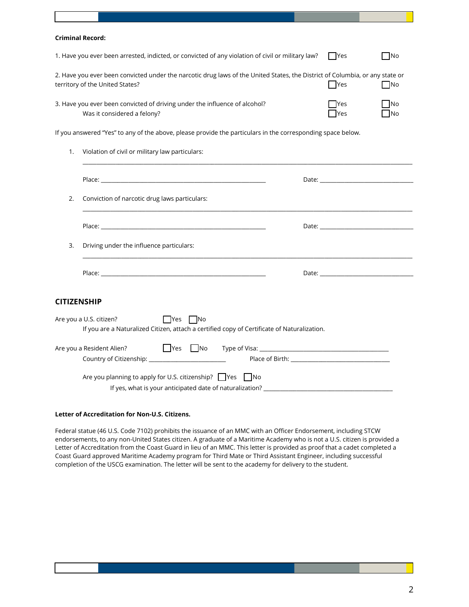| <b>Criminal Record:</b>                                                                                                                                         |                                                                                                                                    |                   |                 |  |  |
|-----------------------------------------------------------------------------------------------------------------------------------------------------------------|------------------------------------------------------------------------------------------------------------------------------------|-------------------|-----------------|--|--|
| 1. Have you ever been arrested, indicted, or convicted of any violation of civil or military law?<br>  Yes                                                      |                                                                                                                                    |                   | $\neg$ No       |  |  |
| 2. Have you ever been convicted under the narcotic drug laws of the United States, the District of Columbia, or any state or<br>territory of the United States? |                                                                                                                                    |                   | <b>No</b>       |  |  |
| 3. Have you ever been convicted of driving under the influence of alcohol?<br>Was it considered a felony?                                                       |                                                                                                                                    | <b>Yes</b><br>Yes | <b>No</b><br>No |  |  |
|                                                                                                                                                                 | If you answered "Yes" to any of the above, please provide the particulars in the corresponding space below.                        |                   |                 |  |  |
| 1.                                                                                                                                                              | Violation of civil or military law particulars:                                                                                    |                   |                 |  |  |
|                                                                                                                                                                 |                                                                                                                                    |                   |                 |  |  |
| 2.                                                                                                                                                              | Conviction of narcotic drug laws particulars:                                                                                      |                   |                 |  |  |
|                                                                                                                                                                 |                                                                                                                                    |                   |                 |  |  |
| 3.                                                                                                                                                              | Driving under the influence particulars:                                                                                           |                   |                 |  |  |
|                                                                                                                                                                 |                                                                                                                                    |                   | Date: Date:     |  |  |
| CITIZENSHIP                                                                                                                                                     |                                                                                                                                    |                   |                 |  |  |
|                                                                                                                                                                 | Are you a U.S. citizen?<br>  Yes No<br>If you are a Naturalized Citizen, attach a certified copy of Certificate of Naturalization. |                   |                 |  |  |
|                                                                                                                                                                 | Are you a Resident Alien?                                                                                                          |                   |                 |  |  |
|                                                                                                                                                                 | Are you planning to apply for U.S. citizenship? ■ Yes ■ No                                                                         |                   |                 |  |  |

## **Letter of Accreditation for Non-U.S. Citizens.**

Federal statue (46 U.S. Code 7102) prohibits the issuance of an MMC with an Officer Endorsement, including STCW endorsements, to any non-United States citizen. A graduate of a Maritime Academy who is not a U.S. citizen is provided a Letter of Accreditation from the Coast Guard in lieu of an MMC. This letter is provided as proof that a cadet completed a Coast Guard approved Maritime Academy program for Third Mate or Third Assistant Engineer, including successful completion of the USCG examination. The letter will be sent to the academy for delivery to the student.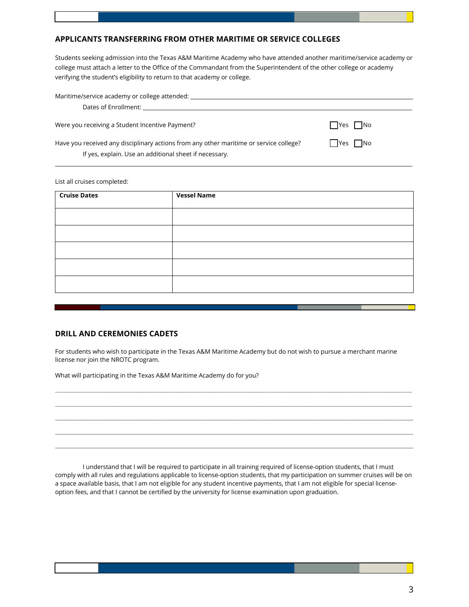## **APPLICANTS TRANSFERRING FROM OTHER MARITIME OR SERVICE COLLEGES**

Students seeking admission into the Texas A&M Maritime Academy who have attended another maritime/service academy or college must attach a letter to the Office of the Commandant from the Superintendent of the other college or academy verifying the student's eligibility to return to that academy or college.

| Maritime/service academy or college attended:<br>Dates of Enrollment: Note that the property of the property of the property of the property of the property of the property of the property of the property of the property of the property of the property of the property of |          |
|---------------------------------------------------------------------------------------------------------------------------------------------------------------------------------------------------------------------------------------------------------------------------------|----------|
| Were you receiving a Student Incentive Payment?                                                                                                                                                                                                                                 | Yes   No |
| Have you received any disciplinary actions from any other maritime or service college?<br>If yes, explain. Use an additional sheet if necessary.                                                                                                                                | Yes No   |

#### List all cruises completed:

| <b>Cruise Dates</b> | <b>Vessel Name</b> |  |
|---------------------|--------------------|--|
|                     |                    |  |
|                     |                    |  |
|                     |                    |  |
|                     |                    |  |
|                     |                    |  |

## **DRILL AND CEREMONIES CADETS**

For students who wish to participate in the Texas A&M Maritime Academy but do not wish to pursue a merchant marine license nor join the NROTC program.

\_\_\_\_\_\_\_\_\_\_\_\_\_\_\_\_\_\_\_\_\_\_\_\_\_\_\_\_\_\_\_\_\_\_\_\_\_\_\_\_\_\_\_\_\_\_\_\_\_\_\_\_\_\_\_\_\_\_\_\_\_\_\_\_\_\_\_\_\_\_\_\_\_\_\_\_\_\_\_\_\_\_\_\_\_\_\_\_\_\_\_\_\_\_\_\_\_\_\_\_\_\_\_\_\_\_\_\_\_\_\_\_\_\_\_\_\_\_\_\_\_\_\_\_\_\_\_\_\_\_\_\_\_\_\_\_\_\_\_\_\_\_\_\_\_\_\_\_\_\_\_\_\_\_\_\_\_\_\_\_\_\_\_\_\_\_\_\_\_\_\_\_\_\_\_\_\_\_\_\_\_\_\_\_\_\_\_\_\_\_\_\_\_\_\_\_\_\_\_\_\_\_\_\_\_\_\_\_ \_\_\_\_\_\_\_\_\_\_\_\_\_\_\_\_\_\_\_\_\_\_\_\_\_\_\_\_\_\_\_\_\_\_\_\_\_\_\_\_\_\_\_\_\_\_\_\_\_\_\_\_\_\_\_\_\_\_\_\_\_\_\_\_\_\_\_\_\_\_\_\_\_\_\_\_\_\_\_\_\_\_\_\_\_\_\_\_\_\_\_\_\_\_\_\_\_\_\_\_\_\_\_\_\_\_\_\_\_\_\_\_\_\_\_\_\_\_\_\_\_\_\_\_\_\_\_\_\_\_\_\_\_\_\_\_\_\_\_\_\_\_\_\_\_\_\_\_\_\_\_\_\_\_\_\_\_\_\_\_\_\_\_\_\_\_\_\_\_\_\_\_\_\_\_\_\_\_\_\_\_\_\_\_\_\_\_\_\_\_\_\_\_\_\_\_\_\_\_\_\_\_\_\_\_\_\_\_ \_\_\_\_\_\_\_\_\_\_\_\_\_\_\_\_\_\_\_\_\_\_\_\_\_\_\_\_\_\_\_\_\_\_\_\_\_\_\_\_\_\_\_\_\_\_\_\_\_\_\_\_\_\_\_\_\_\_\_\_\_\_\_\_\_\_\_\_\_\_\_\_\_\_\_\_\_\_\_\_\_\_\_\_\_\_\_\_\_\_\_\_\_\_\_\_\_\_\_\_\_\_\_\_\_\_\_\_\_\_\_\_\_\_\_\_\_\_\_\_\_\_\_\_\_\_\_\_\_\_\_\_\_\_\_\_\_\_\_\_\_\_\_\_\_\_\_\_\_\_\_\_\_\_\_\_\_\_\_\_\_\_\_\_\_\_\_\_\_\_\_\_\_\_\_\_\_\_\_\_\_\_\_\_\_\_\_\_\_\_\_\_\_\_\_\_\_\_\_\_\_\_\_\_\_\_\_\_\_\_\_\_\_\_\_\_\_\_\_\_\_\_\_\_\_\_\_\_\_\_\_\_\_\_\_\_\_\_\_\_\_\_\_\_\_\_\_ \_\_\_\_\_\_\_\_\_\_\_\_\_\_\_\_\_\_\_\_\_\_\_\_\_\_\_\_\_\_\_\_\_\_\_\_\_\_\_\_\_\_\_\_\_\_\_\_\_\_\_\_\_\_\_\_\_\_\_\_\_\_\_\_\_\_\_\_\_\_\_\_\_\_\_\_\_\_\_\_\_\_\_\_\_\_\_\_\_\_\_\_\_\_\_\_\_\_\_\_\_\_\_\_\_\_\_\_\_\_\_\_\_\_\_\_\_\_\_\_\_\_\_\_\_\_\_\_\_\_\_\_\_\_\_\_\_\_\_\_\_\_\_\_\_\_\_\_\_\_\_\_\_\_\_\_\_\_\_\_\_\_\_\_\_\_\_\_\_\_\_\_\_\_\_\_\_\_\_\_\_\_\_\_\_\_\_\_\_\_\_\_\_\_\_\_\_\_\_\_\_\_\_\_\_\_\_\_\_\_\_\_\_\_\_\_\_\_\_\_\_\_\_\_\_\_\_\_\_\_\_\_\_\_\_\_\_\_\_\_\_\_\_\_\_\_\_ \_\_\_\_\_\_\_\_\_\_\_\_\_\_\_\_\_\_\_\_\_\_\_\_\_\_\_\_\_\_\_\_\_\_\_\_\_\_\_\_\_\_\_\_\_\_\_\_\_\_\_\_\_\_\_\_\_\_\_\_\_\_\_\_\_\_\_\_\_\_\_\_\_\_\_\_\_\_\_\_\_\_\_\_\_\_\_\_\_\_\_\_\_\_\_\_\_\_\_\_\_\_\_\_\_\_\_\_\_\_\_\_\_\_\_\_\_\_\_\_\_\_\_\_\_\_\_\_\_\_\_\_\_\_\_\_\_\_\_\_\_\_\_\_\_\_\_\_\_\_\_\_\_\_\_\_\_\_\_\_\_\_\_\_\_\_\_\_\_\_\_\_\_\_\_\_\_\_\_\_\_\_\_\_\_\_\_\_\_\_\_\_\_\_\_\_\_\_\_\_\_\_\_\_\_\_\_\_\_\_\_\_\_\_\_\_\_\_\_\_\_\_\_\_\_\_\_\_\_\_\_\_\_\_\_\_\_\_\_\_\_\_\_\_\_\_\_

What will participating in the Texas A&M Maritime Academy do for you?

I understand that I will be required to participate in all training required of license-option students, that I must comply with all rules and regulations applicable to license-option students, that my participation on summer cruises will be on a space available basis, that I am not eligible for any student incentive payments, that I am not eligible for special licenseoption fees, and that I cannot be certified by the university for license examination upon graduation.